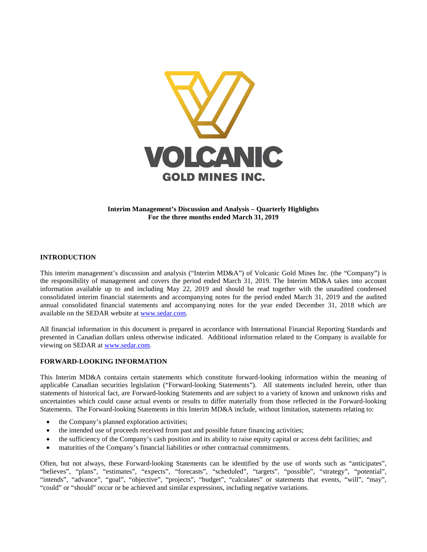

## **Interim Management's Discussion and Analysis – Quarterly Highlights For the three months ended March 31, 2019**

## **INTRODUCTION**

This interim management's discussion and analysis ("Interim MD&A") of Volcanic Gold Mines Inc. (the "Company") is the responsibility of management and covers the period ended March 31, 2019. The Interim MD&A takes into account information available up to and including May 22, 2019 and should be read together with the unaudited condensed consolidated interim financial statements and accompanying notes for the period ended March 31, 2019 and the audited annual consolidated financial statements and accompanying notes for the year ended December 31, 2018 which are available on the SEDAR website at [www.sedar.com.](http://www.sedar.com/)

All financial information in this document is prepared in accordance with International Financial Reporting Standards and presented in Canadian dollars unless otherwise indicated. Additional information related to the Company is available for viewing on SEDAR at [www.sedar.com.](http://www.sedar.com/)

## **FORWARD-LOOKING INFORMATION**

This Interim MD&A contains certain statements which constitute forward-looking information within the meaning of applicable Canadian securities legislation ("Forward-looking Statements"). All statements included herein, other than statements of historical fact, are Forward-looking Statements and are subject to a variety of known and unknown risks and uncertainties which could cause actual events or results to differ materially from those reflected in the Forward-looking Statements. The Forward-looking Statements in this Interim MD&A include, without limitation, statements relating to:

- the Company's planned exploration activities;
- the intended use of proceeds received from past and possible future financing activities;
- the sufficiency of the Company's cash position and its ability to raise equity capital or access debt facilities; and
- maturities of the Company's financial liabilities or other contractual commitments.

Often, but not always, these Forward-looking Statements can be identified by the use of words such as "anticipates", "believes", "plans", "estimates", "expects", "forecasts", "scheduled", "targets", "possible", "strategy", "potential", "intends", "advance", "goal", "objective", "projects", "budget", "calculates" or statements that events, "will", "may", "could" or "should" occur or be achieved and similar expressions, including negative variations.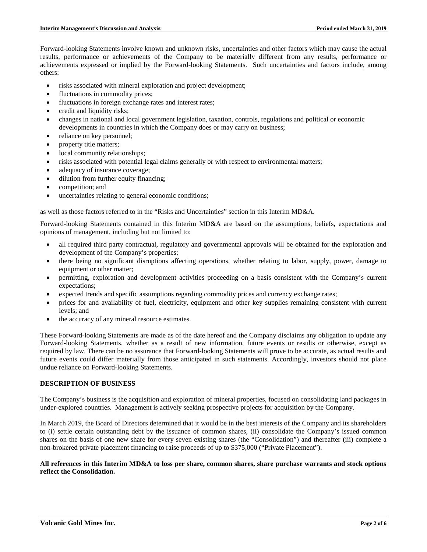Forward-looking Statements involve known and unknown risks, uncertainties and other factors which may cause the actual results, performance or achievements of the Company to be materially different from any results, performance or achievements expressed or implied by the Forward-looking Statements. Such uncertainties and factors include, among others:

- risks associated with mineral exploration and project development;
- fluctuations in commodity prices;
- fluctuations in foreign exchange rates and interest rates;
- credit and liquidity risks;
- changes in national and local government legislation, taxation, controls, regulations and political or economic developments in countries in which the Company does or may carry on business;
- reliance on key personnel;
- property title matters;
- local community relationships;
- risks associated with potential legal claims generally or with respect to environmental matters;
- adequacy of insurance coverage;
- dilution from further equity financing;
- competition; and
- uncertainties relating to general economic conditions;

as well as those factors referred to in the "Risks and Uncertainties" section in this Interim MD&A.

Forward-looking Statements contained in this Interim MD&A are based on the assumptions, beliefs, expectations and opinions of management, including but not limited to:

- all required third party contractual, regulatory and governmental approvals will be obtained for the exploration and development of the Company's properties;
- there being no significant disruptions affecting operations, whether relating to labor, supply, power, damage to equipment or other matter;
- permitting, exploration and development activities proceeding on a basis consistent with the Company's current expectations;
- expected trends and specific assumptions regarding commodity prices and currency exchange rates;
- prices for and availability of fuel, electricity, equipment and other key supplies remaining consistent with current levels; and
- the accuracy of any mineral resource estimates.

These Forward-looking Statements are made as of the date hereof and the Company disclaims any obligation to update any Forward-looking Statements, whether as a result of new information, future events or results or otherwise, except as required by law. There can be no assurance that Forward-looking Statements will prove to be accurate, as actual results and future events could differ materially from those anticipated in such statements. Accordingly, investors should not place undue reliance on Forward-looking Statements.

## **DESCRIPTION OF BUSINESS**

The Company's business is the acquisition and exploration of mineral properties, focused on consolidating land packages in under-explored countries. Management is actively seeking prospective projects for acquisition by the Company.

In March 2019, the Board of Directors determined that it would be in the best interests of the Company and its shareholders to (i) settle certain outstanding debt by the issuance of common shares, (ii) consolidate the Company's issued common shares on the basis of one new share for every seven existing shares (the "Consolidation") and thereafter (iii) complete a non-brokered private placement financing to raise proceeds of up to \$375,000 ("Private Placement").

### **All references in this Interim MD&A to loss per share, common shares, share purchase warrants and stock options reflect the Consolidation.**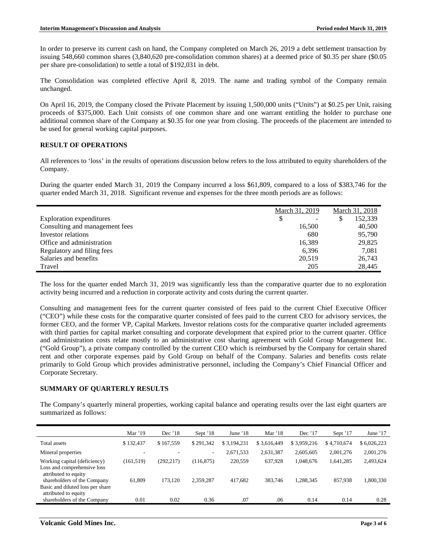In order to preserve its current cash on hand, the Company completed on March 26, 2019 a debt settlement transaction by issuing 548,660 common shares (3,840,620 pre-consolidation common shares) at a deemed price of \$0.35 per share (\$0.05 per share pre-consolidation) to settle a total of \$192,031 in debt.

The Consolidation was completed effective April 8, 2019. The name and trading symbol of the Company remain unchanged.

On April 16, 2019, the Company closed the Private Placement by issuing 1,500,000 units ("Units") at \$0.25 per Unit, raising proceeds of \$375,000. Each Unit consists of one common share and one warrant entitling the holder to purchase one additional common share of the Company at \$0.35 for one year from closing. The proceeds of the placement are intended to be used for general working capital purposes.

## **RESULT OF OPERATIONS**

All references to 'loss' in the results of operations discussion below refers to the loss attributed to equity shareholders of the Company.

During the quarter ended March 31, 2019 the Company incurred a loss \$61,809, compared to a loss of \$383,746 for the quarter ended March 31, 2018. Significant revenue and expenses for the three month periods are as follows:

|                                | March 31, 2019 |   | March 31, 2018 |
|--------------------------------|----------------|---|----------------|
| Exploration expenditures       | ۰              | S | 152,339        |
| Consulting and management fees | 16,500         |   | 40,500         |
| Investor relations             | 680            |   | 95,790         |
| Office and administration      | 16,389         |   | 29,825         |
| Regulatory and filing fees     | 6,396          |   | 7,081          |
| Salaries and benefits          | 20,519         |   | 26.743         |
| Travel                         | 205            |   | 28,445         |

The loss for the quarter ended March 31, 2019 was significantly less than the comparative quarter due to no exploration activity being incurred and a reduction in corporate activity and costs during the current quarter.

Consulting and management fees for the current quarter consisted of fees paid to the current Chief Executive Officer ("CEO") while these costs for the comparative quarter consisted of fees paid to the current CEO for advisory services, the former CEO, and the former VP, Capital Markets. Investor relations costs for the comparative quarter included agreements with third parties for capital market consulting and corporate development that expired prior to the current quarter. Office and administration costs relate mostly to an administrative cost sharing agreement with Gold Group Management Inc. ("Gold Group"), a private company controlled by the current CEO which is reimbursed by the Company for certain shared rent and other corporate expenses paid by Gold Group on behalf of the Company. Salaries and benefits costs relate primarily to Gold Group which provides administrative personnel, including the Company's Chief Financial Officer and Corporate Secretary.

## **SUMMARY OF QUARTERLY RESULTS**

The Company's quarterly mineral properties, working capital balance and operating results over the last eight quarters are summarized as follows:

|                                                                                         | Mar $'19$  | Dec $'18$  | Sept '18                 | June $18$   | Mar '18     | Dec $'17$   | Sept '17    | June $17$   |
|-----------------------------------------------------------------------------------------|------------|------------|--------------------------|-------------|-------------|-------------|-------------|-------------|
| Total assets                                                                            | \$132,437  | \$167.559  | \$291,342                | \$3,194,231 | \$3,616,449 | \$3,959,216 | \$4,710,674 | \$6,026,223 |
| Mineral properties                                                                      |            |            | $\overline{\phantom{a}}$ | 2,671,533   | 2,631,387   | 2,605,605   | 2.001.276   | 2,001,276   |
| Working capital (deficiency)<br>Loss and comprehensive loss<br>attributed to equity     | (161, 519) | (292, 217) | (116, 875)               | 220,559     | 637,928     | 1,048,676   | 1,641,285   | 2,493,624   |
| shareholders of the Company<br>Basic and diluted loss per share<br>attributed to equity | 61,809     | 173.120    | 2,359,287                | 417,682     | 383,746     | 1,288,345   | 857,938     | 1,800,330   |
| shareholders of the Company                                                             | 0.01       | 0.02       | 0.36                     | .07         | .06         | 0.14        | 0.14        | 0.28        |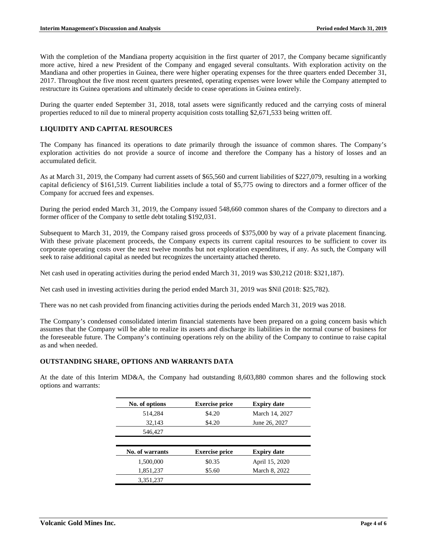With the completion of the Mandiana property acquisition in the first quarter of 2017, the Company became significantly more active, hired a new President of the Company and engaged several consultants. With exploration activity on the Mandiana and other properties in Guinea, there were higher operating expenses for the three quarters ended December 31, 2017. Throughout the five most recent quarters presented, operating expenses were lower while the Company attempted to restructure its Guinea operations and ultimately decide to cease operations in Guinea entirely.

During the quarter ended September 31, 2018, total assets were significantly reduced and the carrying costs of mineral properties reduced to nil due to mineral property acquisition costs totalling \$2,671,533 being written off.

# **LIQUIDITY AND CAPITAL RESOURCES**

The Company has financed its operations to date primarily through the issuance of common shares. The Company's exploration activities do not provide a source of income and therefore the Company has a history of losses and an accumulated deficit.

As at March 31, 2019, the Company had current assets of \$65,560 and current liabilities of \$227,079, resulting in a working capital deficiency of \$161,519. Current liabilities include a total of \$5,775 owing to directors and a former officer of the Company for accrued fees and expenses.

During the period ended March 31, 2019, the Company issued 548,660 common shares of the Company to directors and a former officer of the Company to settle debt totaling \$192,031.

Subsequent to March 31, 2019, the Company raised gross proceeds of \$375,000 by way of a private placement financing. With these private placement proceeds, the Company expects its current capital resources to be sufficient to cover its corporate operating costs over the next twelve months but not exploration expenditures, if any. As such, the Company will seek to raise additional capital as needed but recognizes the uncertainty attached thereto.

Net cash used in operating activities during the period ended March 31, 2019 was \$30,212 (2018: \$321,187).

Net cash used in investing activities during the period ended March 31, 2019 was \$Nil (2018: \$25,782).

There was no net cash provided from financing activities during the periods ended March 31, 2019 was 2018.

The Company's condensed consolidated interim financial statements have been prepared on a going concern basis which assumes that the Company will be able to realize its assets and discharge its liabilities in the normal course of business for the foreseeable future. The Company's continuing operations rely on the ability of the Company to continue to raise capital as and when needed.

## **OUTSTANDING SHARE, OPTIONS AND WARRANTS DATA**

At the date of this Interim MD&A, the Company had outstanding 8,603,880 common shares and the following stock options and warrants:

| No. of options  | <b>Exercise price</b> | <b>Expiry date</b> |
|-----------------|-----------------------|--------------------|
| 514,284         | \$4.20                | March 14, 2027     |
| 32,143          | \$4.20                | June 26, 2027      |
| 546,427         |                       |                    |
|                 |                       |                    |
|                 |                       |                    |
| No. of warrants | <b>Exercise price</b> | <b>Expiry date</b> |
| 1,500,000       | \$0.35                | April 15, 2020     |
| 1,851,237       | \$5.60                | March 8, 2022      |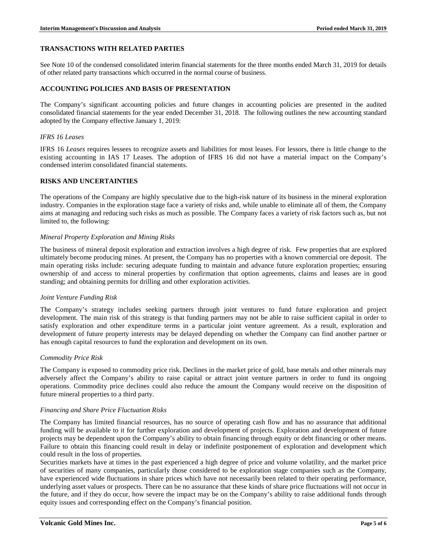### **TRANSACTIONS WITH RELATED PARTIES**

See Note 10 of the condensed consolidated interim financial statements for the three months ended March 31, 2019 for details of other related party transactions which occurred in the normal course of business.

## **ACCOUNTING POLICIES AND BASIS OF PRESENTATION**

The Company's significant accounting policies and future changes in accounting policies are presented in the audited consolidated financial statements for the year ended December 31, 2018. The following outlines the new accounting standard adopted by the Company effective January 1, 2019:

#### *IFRS 16 Leases*

IFRS 16 *Leases* requires lessees to recognize assets and liabilities for most leases. For lessors, there is little change to the existing accounting in IAS 17 Leases. The adoption of IFRS 16 did not have a material impact on the Company's condensed interim consolidated financial statements.

### **RISKS AND UNCERTAINTIES**

The operations of the Company are highly speculative due to the high-risk nature of its business in the mineral exploration industry. Companies in the exploration stage face a variety of risks and, while unable to eliminate all of them, the Company aims at managing and reducing such risks as much as possible. The Company faces a variety of risk factors such as, but not limited to, the following:

#### *Mineral Property Exploration and Mining Risks*

The business of mineral deposit exploration and extraction involves a high degree of risk. Few properties that are explored ultimately become producing mines. At present, the Company has no properties with a known commercial ore deposit. The main operating risks include: securing adequate funding to maintain and advance future exploration properties; ensuring ownership of and access to mineral properties by confirmation that option agreements, claims and leases are in good standing; and obtaining permits for drilling and other exploration activities.

#### *Joint Venture Funding Risk*

The Company's strategy includes seeking partners through joint ventures to fund future exploration and project development. The main risk of this strategy is that funding partners may not be able to raise sufficient capital in order to satisfy exploration and other expenditure terms in a particular joint venture agreement. As a result, exploration and development of future property interests may be delayed depending on whether the Company can find another partner or has enough capital resources to fund the exploration and development on its own.

### *Commodity Price Risk*

The Company is exposed to commodity price risk. Declines in the market price of gold, base metals and other minerals may adversely affect the Company's ability to raise capital or attract joint venture partners in order to fund its ongoing operations. Commodity price declines could also reduce the amount the Company would receive on the disposition of future mineral properties to a third party.

#### *Financing and Share Price Fluctuation Risks*

The Company has limited financial resources, has no source of operating cash flow and has no assurance that additional funding will be available to it for further exploration and development of projects. Exploration and development of future projects may be dependent upon the Company's ability to obtain financing through equity or debt financing or other means. Failure to obtain this financing could result in delay or indefinite postponement of exploration and development which could result in the loss of properties.

Securities markets have at times in the past experienced a high degree of price and volume volatility, and the market price of securities of many companies, particularly those considered to be exploration stage companies such as the Company, have experienced wide fluctuations in share prices which have not necessarily been related to their operating performance, underlying asset values or prospects. There can be no assurance that these kinds of share price fluctuations will not occur in the future, and if they do occur, how severe the impact may be on the Company's ability to raise additional funds through equity issues and corresponding effect on the Company's financial position.